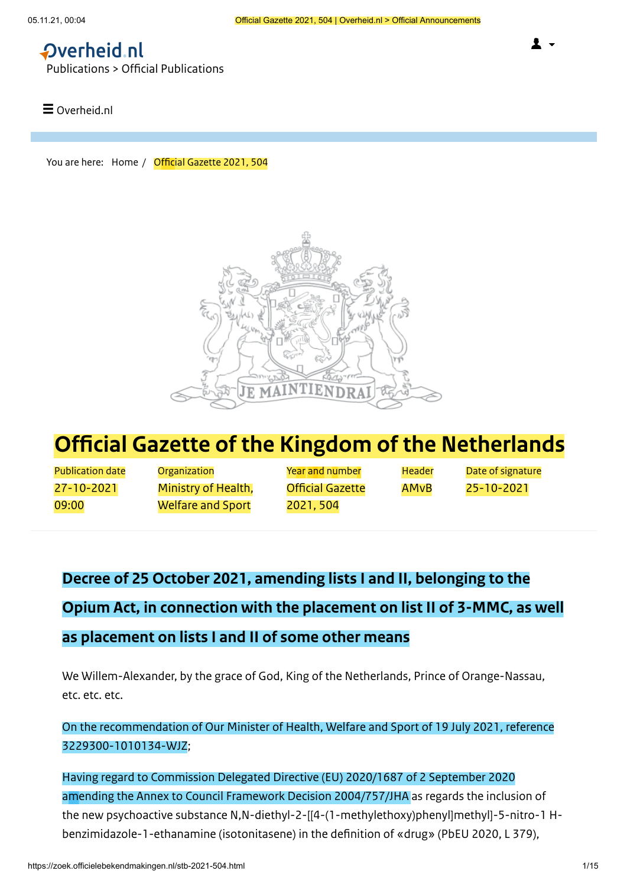# Dverheid.nl

Publications > Official [Publications](https://www.officielebekendmakingen.nl/)

#### $\equiv$  [Overheid.nl](https://zoek.officielebekendmakingen.nl/)

You are here: [Home](https://www.officielebekendmakingen.nl/) / Official Gazette 2021, 504



# **Official Gazette of the Kingdom of the Netherlands**

27-10-2021 09:00

Publication date **Organization Near and number** Header Date of signature Ministry of Health, Welfare and Sport

Official Gazette 2021, 504

AMvB 25-10-2021

# **Decree of 25 October 2021, amending lists I and II, belonging to the Opium Act, in connection with the placement on list II of 3-MMC, as well as placement on lists I and II of some other means**

We Willem-Alexander, by the grace of God, King of the Netherlands, Prince of Orange-Nassau, etc. etc. etc.

On the recommendation of Our Minister of Health, Welfare and Sport of 19 July 2021, reference 3229300-1010134-WJZ;

Having regard to Commission Delegated Directive (EU) 2020/1687 of 2 September 2020 amending the Annex to Council Framework Decision 2004/757/JHA as regards the inclusion of the new psychoactive substance N,N-diethyl-2-[[4-(1-methylethoxy)phenyl]methyl]-5-nitro-1 Hbenzimidazole-1-ethanamine (isotonitasene) in the definition of «drug» (PbEU 2020, L 379),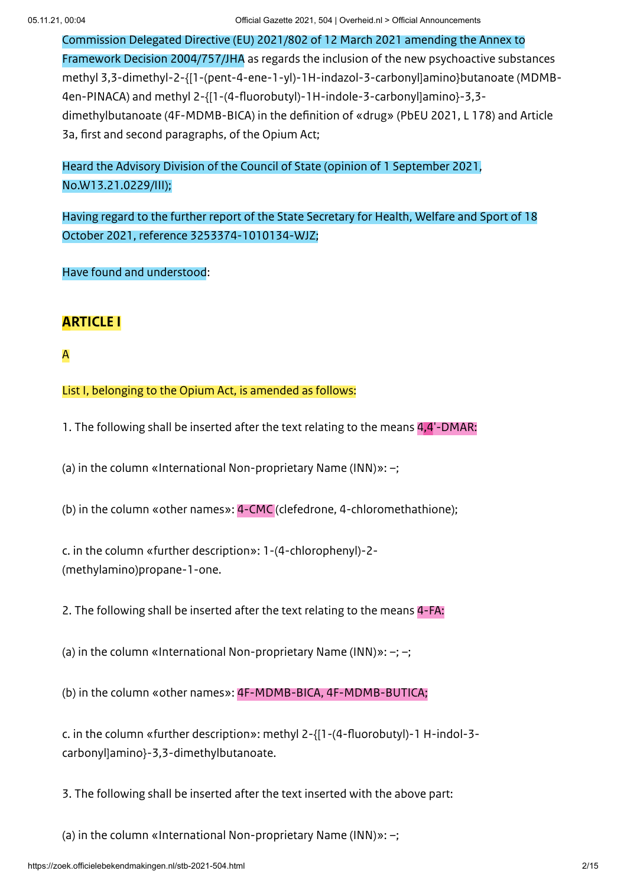Commission Delegated Directive (EU) 2021/802 of 12 March 2021 amending the Annex to Framework Decision 2004/757/JHA as regards the inclusion of the new psychoactive substances methyl 3,3-dimethyl-2-{[1-(pent-4-ene-1-yl)-1H-indazol-3-carbonyl]amino}butanoate (MDMB-4en-PINACA) and methyl 2-{[1-(4-fluorobutyl)-1H-indole-3-carbonyl]amino}-3,3 dimethylbutanoate (4F-MDMB-BICA) in the definition of «drug» (PbEU 2021, L 178) and Article 3a, first and second paragraphs, of the Opium Act;

Heard the Advisory Division of the Council of State (opinion of 1 September 2021, No.W13.21.0229/III);

Having regard to the further report of the State Secretary for Health, Welfare and Sport of 18 October 2021, reference 3253374-1010134-WJZ;

Have found and understood:

# **ARTICLE I**

# A

List I, belonging to the Opium Act, is amended as follows:

1. The following shall be inserted after the text relating to the means 4,4'-DMAR:

(a) in the column «International Non-proprietary Name (INN)»: –;

(b) in the column «other names»: 4-CMC (clefedrone, 4-chloromethathione);

c. in the column «further description»: 1-(4-chlorophenyl)-2- (methylamino)propane-1-one.

2. The following shall be inserted after the text relating to the means 4-FA:

(a) in the column «International Non-proprietary Name (INN)»: –; –;

(b) in the column «other names»: 4F-MDMB-BICA, 4F-MDMB-BUTICA;

c. in the column «further description»: methyl 2-{[1-(4-fluorobutyl)-1 H-indol-3 carbonyl]amino}-3,3-dimethylbutanoate.

3. The following shall be inserted after the text inserted with the above part:

(a) in the column «International Non-proprietary Name (INN)»: –;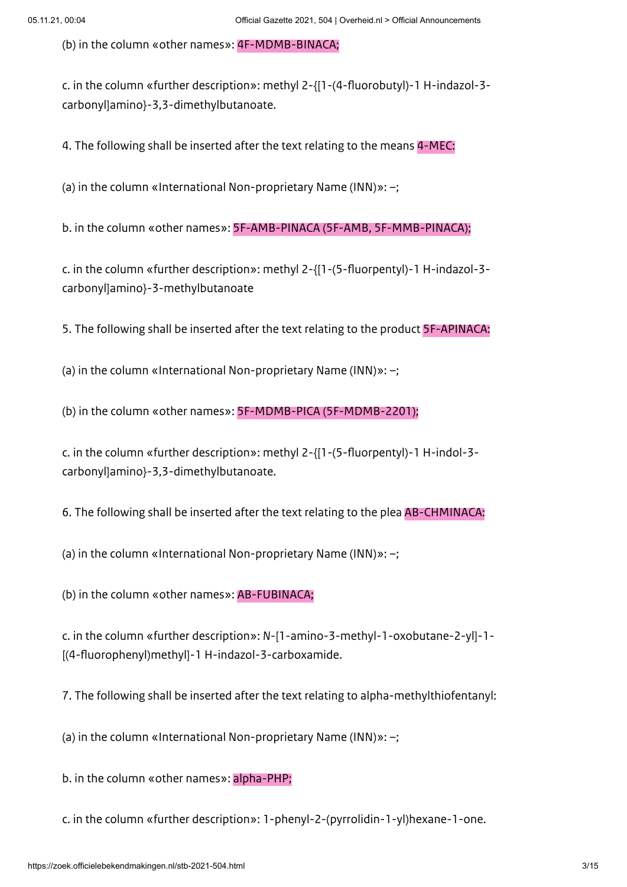(b) in the column «other names»: 4F-MDMB-BINACA;

c. in the column «further description»: methyl 2-{[1-(4-fluorobutyl)-1 H-indazol-3 carbonyl]amino}-3,3-dimethylbutanoate.

4. The following shall be inserted after the text relating to the means 4-MEC:

(a) in the column «International Non-proprietary Name (INN)»: –;

b. in the column «other names»: 5F-AMB-PINACA (5F-AMB, 5F-MMB-PINACA);

c. in the column «further description»: methyl 2-{[1-(5-fluorpentyl)-1 H-indazol-3 carbonyl]amino}-3-methylbutanoate

5. The following shall be inserted after the text relating to the product 5F-APINACA:

(a) in the column «International Non-proprietary Name (INN)»: –;

(b) in the column «other names»: 5F-MDMB-PICA (5F-MDMB-2201);

c. in the column «further description»: methyl 2-{[1-(5-fluorpentyl)-1 H-indol-3 carbonyl]amino}-3,3-dimethylbutanoate.

6. The following shall be inserted after the text relating to the plea AB-CHMINACA:

(a) in the column «International Non-proprietary Name (INN)»: –;

(b) in the column «other names»: AB-FUBINACA;

c. in the column «further description»: *N*-[1-amino-3-methyl-1-oxobutane-2-yl]-1- [(4-fluorophenyl)methyl]-1 H-indazol-3-carboxamide.

7. The following shall be inserted after the text relating to alpha-methylthiofentanyl:

(a) in the column «International Non-proprietary Name (INN)»: –;

b. in the column «other names»: alpha-PHP;

c. in the column «further description»: 1-phenyl-2-(pyrrolidin-1-yl)hexane-1-one.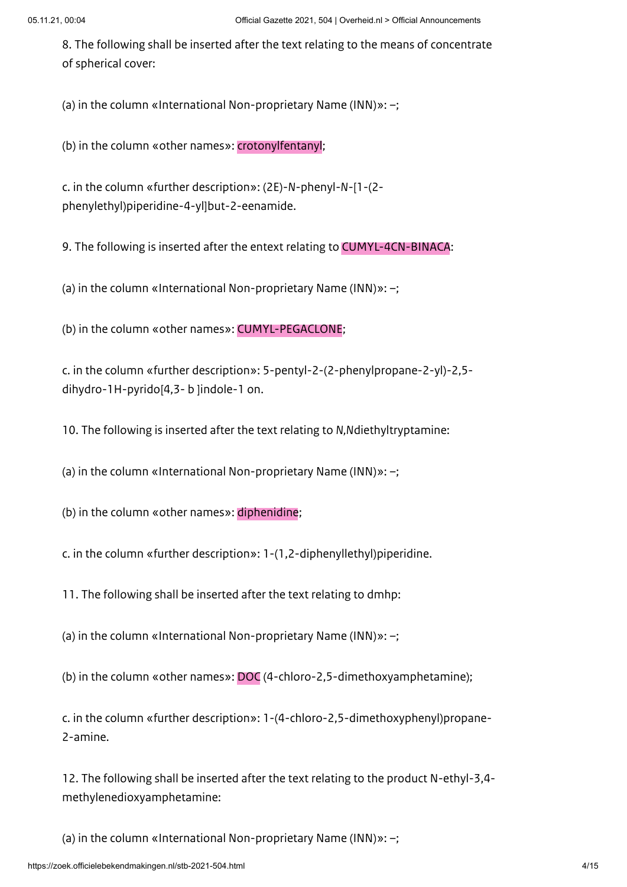8. The following shall be inserted after the text relating to the means of concentrate of spherical cover:

(a) in the column «International Non-proprietary Name (INN)»: –;

(b) in the column «other names»: crotonylfentanyl;

c. in the column «further description»: (2E)-*N*-phenyl-*N*-[1-(2 phenylethyl)piperidine-4-yl]but-2-eenamide.

9. The following is inserted after the entext relating to CUMYL-4CN-BINACA:

(a) in the column «International Non-proprietary Name (INN)»: –;

(b) in the column «other names»: CUMYL-PEGACLONE;

c. in the column «further description»: 5-pentyl-2-(2-phenylpropane-2-yl)-2,5 dihydro-1H-pyrido[4,3- b ]indole-1 on.

10. The following is inserted after the text relating to *N,N*diethyltryptamine:

(a) in the column «International Non-proprietary Name (INN)»: –;

(b) in the column «other names»: diphenidine;

c. in the column «further description»: 1-(1,2-diphenyllethyl)piperidine.

11. The following shall be inserted after the text relating to dmhp:

(a) in the column «International Non-proprietary Name (INN)»: –;

(b) in the column «other names»: DOC (4-chloro-2,5-dimethoxyamphetamine);

c. in the column «further description»: 1-(4-chloro-2,5-dimethoxyphenyl)propane-2-amine.

12. The following shall be inserted after the text relating to the product N-ethyl-3,4 methylenedioxyamphetamine:

(a) in the column «International Non-proprietary Name (INN)»: –;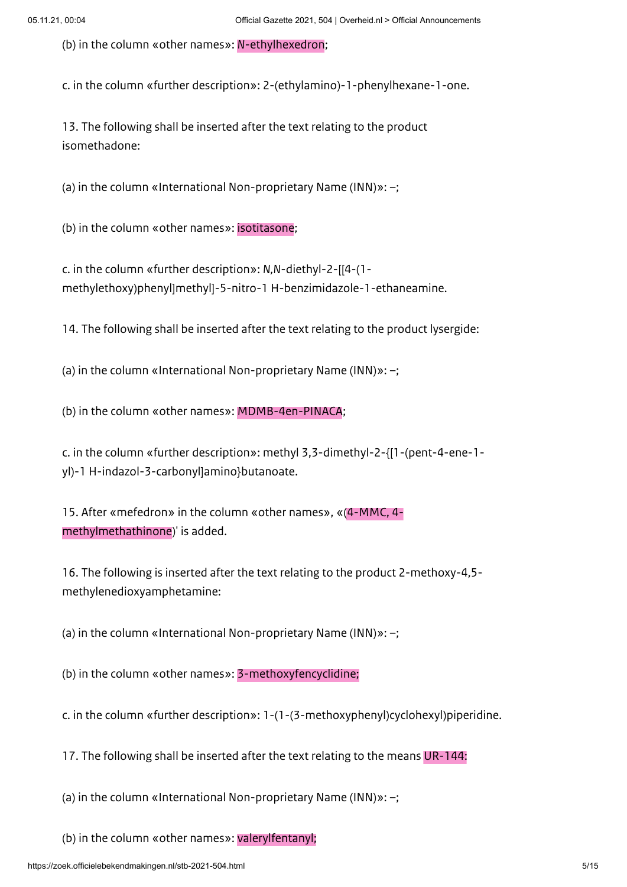(b) in the column «other names»: *N*-ethylhexedron;

c. in the column «further description»: 2-(ethylamino)-1-phenylhexane-1-one.

13. The following shall be inserted after the text relating to the product isomethadone:

(a) in the column «International Non-proprietary Name (INN)»: –;

(b) in the column «other names»: isotitasone;

c. in the column «further description»: *N,N*-diethyl-2-[[4-(1 methylethoxy)phenyl]methyl]-5-nitro-1 H-benzimidazole-1-ethaneamine.

14. The following shall be inserted after the text relating to the product lysergide:

(a) in the column «International Non-proprietary Name (INN)»: –;

(b) in the column «other names»: MDMB-4en-PINACA;

c. in the column «further description»: methyl 3,3-dimethyl-2-{[1-(pent-4-ene-1 yl)-1 H-indazol-3-carbonyl]amino}butanoate.

15. After «mefedron» in the column «other names», «(4-MMC, 4 methylmethathinone)' is added.

16. The following is inserted after the text relating to the product 2-methoxy-4,5 methylenedioxyamphetamine:

(a) in the column «International Non-proprietary Name (INN)»: –;

(b) in the column «other names»: 3-methoxyfencyclidine;

c. in the column «further description»: 1-(1-(3-methoxyphenyl)cyclohexyl)piperidine.

17. The following shall be inserted after the text relating to the means UR-144:

(a) in the column «International Non-proprietary Name (INN)»: –;

(b) in the column «other names»: valerylfentanyl;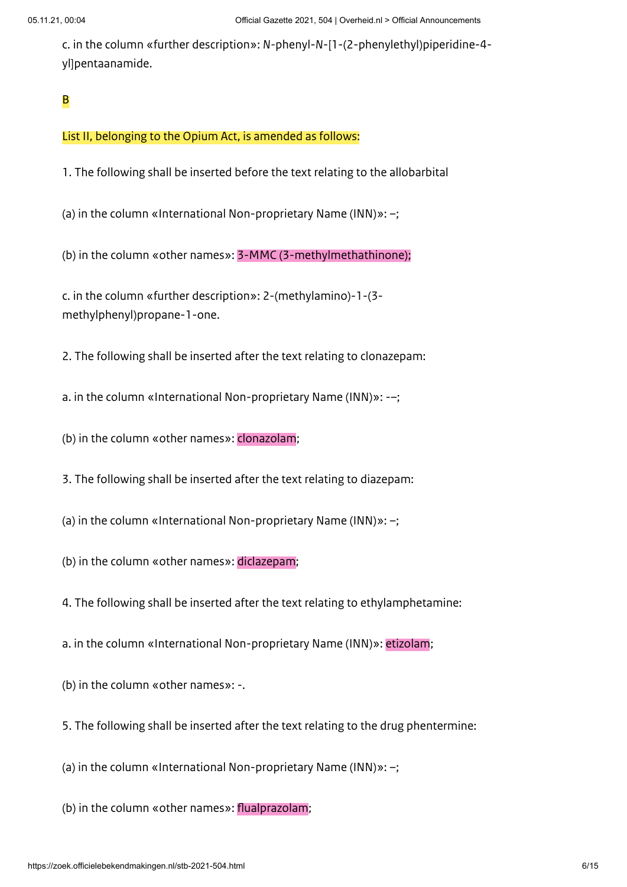c. in the column «further description»: *N-*phenyl-*N*-[1-(2-phenylethyl)piperidine-4 yl]pentaanamide.

# B

#### List II, belonging to the Opium Act, is amended as follows:

1. The following shall be inserted before the text relating to the allobarbital

(a) in the column «International Non-proprietary Name (INN)»: –;

(b) in the column «other names»: 3-MMC (3-methylmethathinone);

c. in the column «further description»: 2-(methylamino)-1-(3 methylphenyl)propane-1-one.

2. The following shall be inserted after the text relating to clonazepam:

a. in the column «International Non-proprietary Name (INN)»: -–;

(b) in the column «other names»: clonazolam;

3. The following shall be inserted after the text relating to diazepam:

(a) in the column «International Non-proprietary Name (INN)»: –;

(b) in the column «other names»: diclazepam;

4. The following shall be inserted after the text relating to ethylamphetamine:

a. in the column «International Non-proprietary Name (INN)»: etizolam;

(b) in the column «other names»: -.

5. The following shall be inserted after the text relating to the drug phentermine:

(a) in the column «International Non-proprietary Name (INN)»: –;

(b) in the column «other names»: flualprazolam;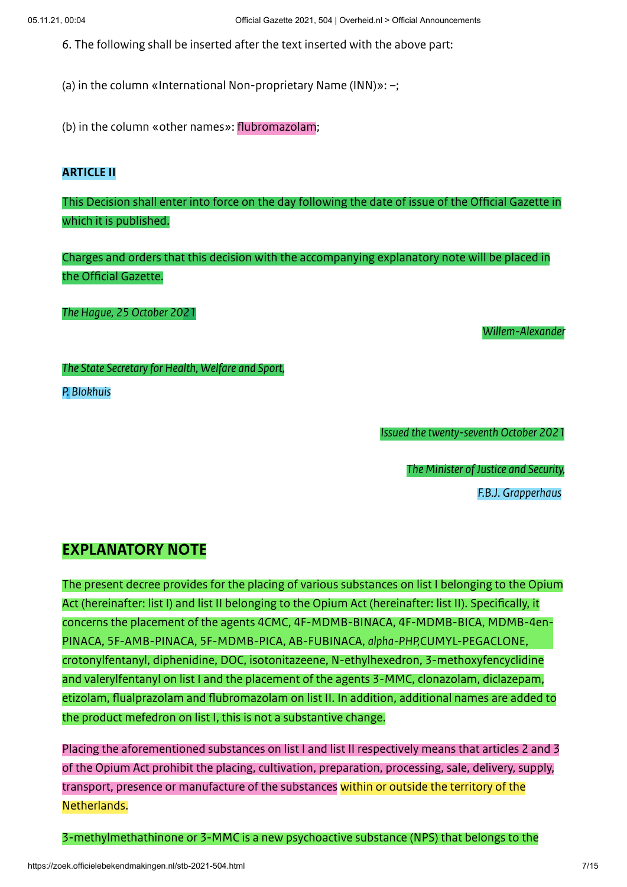6. The following shall be inserted after the text inserted with the above part:

(a) in the column «International Non-proprietary Name (INN)»: –;

(b) in the column «other names»: flubromazolam;

#### **ARTICLE II**

This Decision shall enter into force on the day following the date of issue of the Official Gazette in which it is published.

Charges and orders that this decision with the accompanying explanatory note will be placed in the Official Gazette.

*The Hague, 25 October 2021*

*Willem-Alexander*

#### *The State Secretaryfor Health, Welfare and Sport,*

*P. Blokhuis*

*Issued the twenty-seventh October 2021* 

*The Minister of Justice and Security,*

*F.B.J. Grapperhaus*

### **EXPLANATORY NOTE**

The present decree provides for the placing of various substances on list I belonging to the Opium Act (hereinafter: list I) and list II belonging to the Opium Act (hereinafter: list II). Specifically, it concerns the placement of the agents 4CMC, 4F-MDMB-BINACA, 4F-MDMB-BICA, MDMB-4en-PINACA, 5F-AMB-PINACA, 5F-MDMB-PICA, AB-FUBINACA, *alpha-PHP,*CUMYL-PEGACLONE, crotonylfentanyl, diphenidine, DOC, isotonitazeene, N-ethylhexedron, 3-methoxyfencyclidine and valerylfentanyl on list I and the placement of the agents 3-MMC, clonazolam, diclazepam, etizolam, flualprazolam and flubromazolam on list II. In addition, additional names are added to the product mefedron on list I, this is not a substantive change.

Placing the aforementioned substances on list I and list II respectively means that articles 2 and 3 of the Opium Act prohibit the placing, cultivation, preparation, processing, sale, delivery, supply, transport, presence or manufacture of the substances within or outside the territory of the Netherlands.

3-methylmethathinone or 3-MMC is a new psychoactive substance (NPS) that belongs to the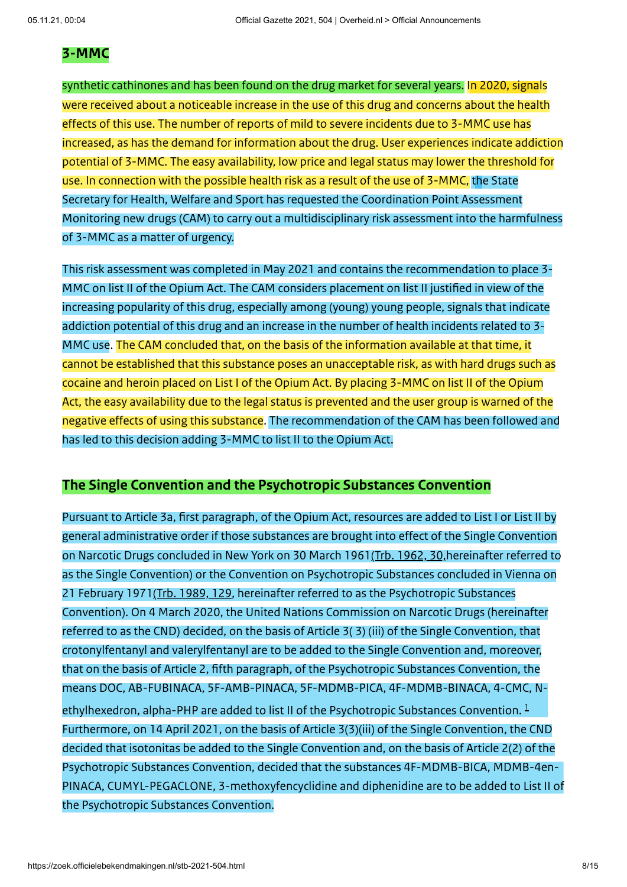# **3-MMC**

synthetic cathinones and has been found on the drug market for several years. In 2020, signals were received about a noticeable increase in the use of this drug and concerns about the health effects of this use. The number of reports of mild to severe incidents due to 3-MMC use has increased, as has the demand for information about the drug. User experiences indicate addiction potential of 3-MMC. The easy availability, low price and legal status may lower the threshold for use. In connection with the possible health risk as a result of the use of 3-MMC, the State Secretary for Health, Welfare and Sport has requested the Coordination Point Assessment Monitoring new drugs (CAM) to carry out a multidisciplinary risk assessment into the harmfulness of 3-MMC as a matter of urgency.

This risk assessment was completed in May 2021 and contains the recommendation to place 3- MMC on list II of the Opium Act. The CAM considers placement on list II justified in view of the increasing popularity of this drug, especially among (young) young people, signals that indicate addiction potential of this drug and an increase in the number of health incidents related to 3- MMC use. The CAM concluded that, on the basis of the information available at that time, it cannot be established that this substance poses an unacceptable risk, as with hard drugs such as cocaine and heroin placed on List I of the Opium Act. By placing 3-MMC on list II of the Opium Act, the easy availability due to the legal status is prevented and the user group is warned of the negative effects of using this substance. The recommendation of the CAM has been followed and has led to this decision adding 3-MMC to list II to the Opium Act.

#### **The Single Convention and the Psychotropic Substances Convention**

Pursuant to Article 3a, first paragraph, of the Opium Act, resources are added to List I or List II by general administrative order if those substances are brought into effect of the Single Convention on Narcotic Drugs concluded in New York on 30 March 1961(Trb. [1962,](https://zoek.officielebekendmakingen.nl/trb-1962-30.html) 30,hereinafter referred to as the Single Convention) or the Convention on Psychotropic Substances concluded in Vienna on 21 February 1971(Trb. [1989,](https://zoek.officielebekendmakingen.nl/trb-1989-129.html) 129, hereinafter referred to as the Psychotropic Substances Convention). On 4 March 2020, the United Nations Commission on Narcotic Drugs (hereinafter referred to as the CND) decided, on the basis of Article 3( 3) (iii) of the Single Convention, that crotonylfentanyl and valerylfentanyl are to be added to the Single Convention and, moreover, that on the basis of Article 2, fifth paragraph, of the Psychotropic Substances Convention, the means DOC, AB-FUBINACA, 5F-AMB-PINACA, 5F-MDMB-PICA, 4F-MDMB-BINACA, 4-CMC, N-ethylhexedron, alpha-PHP are added to list II of the Psychotropic Substances Convention. [1](#page-12-0) Furthermore, on 14 April 2021, on the basis of Article 3(3)(iii) of the Single Convention, the CND decided that isotonitas be added to the Single Convention and, on the basis of Article 2(2) of the Psychotropic Substances Convention, decided that the substances 4F-MDMB-BICA, MDMB-4en-PINACA, CUMYL-PEGACLONE, 3-methoxyfencyclidine and diphenidine are to be added to List II of the Psychotropic Substances Convention.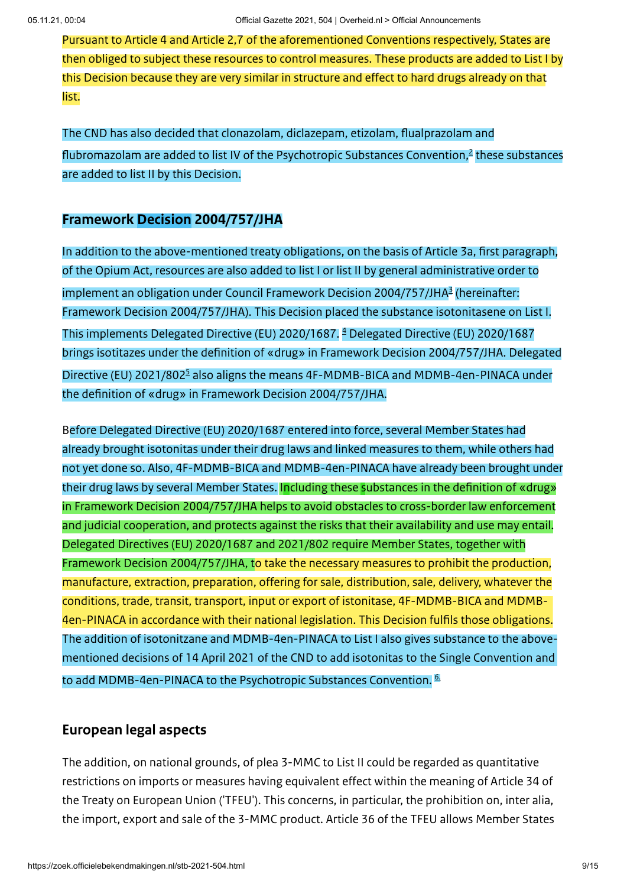Pursuant to Article 4 and Article 2,7 of the aforementioned Conventions respectively, States are then obliged to subject these resources to control measures. These products are added to List I by this Decision because they are very similar in structure and effect to hard drugs already on that list.

The CND has also decided that clonazolam, diclazepam, etizolam, flualprazolam and flubromazolam are added to list IV of the Psychotropic Substances Convention,<sup>[2](#page-12-1)</sup> these substances are added to list II by this Decision.

#### **Framework Decision 2004/757/JHA**

In addition to the above-mentioned treaty obligations, on the basis of Article 3a, first paragraph, of the Opium Act, resources are also added to list I or list II by general administrative order to implement an obligation under Council Framework Decision 2004/757/JHA [3](#page-13-0) (hereinafter: Framework Decision 2004/757/JHA). This Decision placed the substance isotonitasene on List I. This implements Delegated Directive (EU) 2020/1687. [4](#page-13-1) Delegated Directive (EU) 2020/1687 brings isotitazes under the definition of «drug» in Framework Decision 2004/757/JHA. Delegated Directive (EU) 2021/802<sup>[5](#page-13-2)</sup> also aligns the means 4F-MDMB-BICA and MDMB-4en-PINACA under the definition of «drug» in Framework Decision 2004/757/JHA.

Before Delegated Directive (EU) 2020/1687 entered into force, several Member States had already brought isotonitas under their drug laws and linked measures to them, while others had not yet done so. Also, 4F-MDMB-BICA and MDMB-4en-PINACA have already been brought under their drug laws by several Member States. Including these substances in the definition of «drug» in Framework Decision 2004/757/JHA helps to avoid obstacles to cross-border law enforcement and judicial cooperation, and protects against the risks that their availability and use may entail. Delegated Directives (EU) 2020/1687 and 2021/802 require Member States, together with Framework Decision 2004/757/JHA, to take the necessary measures to prohibit the production, manufacture, extraction, preparation, offering for sale, distribution, sale, delivery, whatever the conditions, trade, transit, transport, input or export of istonitase, 4F-MDMB-BICA and MDMB-4en-PINACA in accordance with their national legislation. This Decision fulfils those obligations. The addition of isotonitzane and MDMB-4en-PINACA to List I also gives substance to the abovementioned decisions of 14 April 2021 of the CND to add isotonitas to the Single Convention and to add MDMB-4en-PINACA to the Psychotropic Substances Convention. <mark>[6.](#page-13-3)</mark>

#### **European legal aspects**

The addition, on national grounds, of plea 3-MMC to List II could be regarded as quantitative restrictions on imports or measures having equivalent effect within the meaning of Article 34 of the Treaty on European Union ('TFEU'). This concerns, in particular, the prohibition on, inter alia, the import, export and sale of the 3-MMC product. Article 36 of the TFEU allows Member States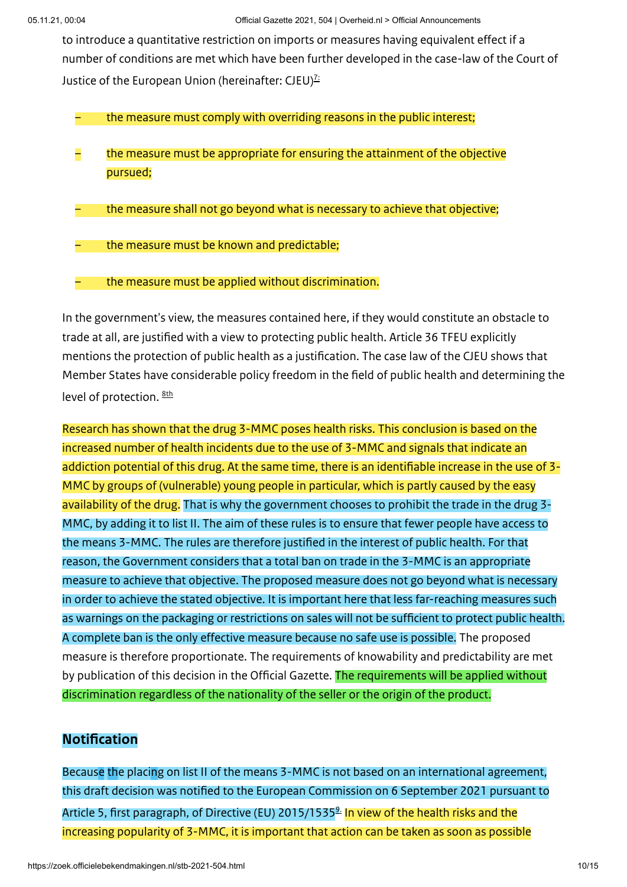to introduce a quantitative restriction on imports or measures having equivalent effect if a number of conditions are met which have been further developed in the case-law of the Court of Justice of the European Union (hereinafter: CJEU) $^{\mathcal{I}\!}$ 

the measure must comply with overriding reasons in the public interest;

the measure must be appropriate for ensuring the attainment of the objective pursued; –

– the measure shall not go beyond what is necessary to achieve that objective;

– the measure must be known and predictable;

– the measure must be applied without discrimination.

In the government's view, the measures contained here, if they would constitute an obstacle to trade at all, are justified with a view to protecting public health. Article 36 TFEU explicitly mentions the protection of public health as a justification. The case law of the CJEU shows that Member States have considerable policy freedom in the field of public health and determining the level of protection. **[8th](#page-13-5)** 

Research has shown that the drug 3-MMC poses health risks. This conclusion is based on the increased number of health incidents due to the use of 3-MMC and signals that indicate an addiction potential of this drug. At the same time, there is an identifiable increase in the use of 3- MMC by groups of (vulnerable) young people in particular, which is partly caused by the easy availability of the drug. That is why the government chooses to prohibit the trade in the drug 3- MMC, by adding it to list II. The aim of these rules is to ensure that fewer people have access to the means 3-MMC. The rules are therefore justified in the interest of public health. For that reason, the Government considers that a total ban on trade in the 3-MMC is an appropriate measure to achieve that objective. The proposed measure does not go beyond what is necessary in order to achieve the stated objective. It is important here that less far-reaching measures such as warnings on the packaging or restrictions on sales will not be sufficient to protect public health. A complete ban is the only effective measure because no safe use is possible. The proposed measure is therefore proportionate. The requirements of knowability and predictability are met by publication of this decision in the Official Gazette. The requirements will be applied without discrimination regardless of the nationality of the seller or the origin of the product.

## **Notification**

Because the placing on list II of the means 3-MMC is not based on an international agreement, this draft decision was notified to the European Commission on 6 September 2021 pursuant to Article 5, first paragraph, of Directive (EU) 2015/1535<sup>[9.](#page-13-6)</sup> In view of the health risks and the increasing popularity of 3-MMC, it is important that action can be taken as soon as possible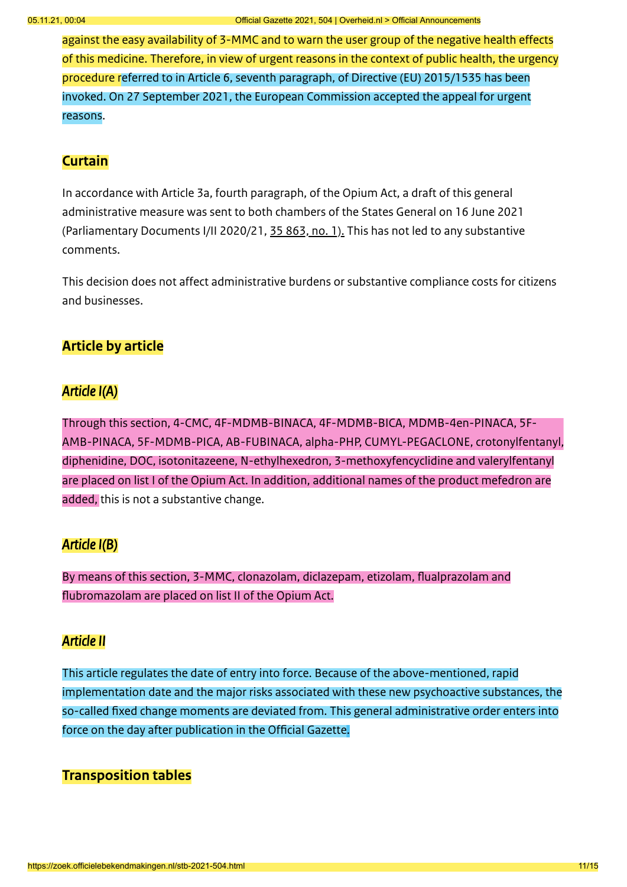against the easy availability of 3-MMC and to warn the user group of the negative health effects of this medicine. Therefore, in view of urgent reasons in the context of public health, the urgency procedure referred to in Article 6, seventh paragraph, of Directive (EU) 2015/1535 has been invoked. On 27 September 2021, the European Commission accepted the appeal for urgent reasons.

#### **Curtain**

In accordance with Article 3a, fourth paragraph, of the Opium Act, a draft of this general administrative measure was sent to both chambers of the States General on 16 June 2021 (Parliamentary Documents I/II 2020/21, 35 [863,](https://zoek.officielebekendmakingen.nl/kst-35863-1.html) no. 1). This has not led to any substantive comments.

This decision does not affect administrative burdens or substantive compliance costs for citizens and businesses.

#### **Article by article**

# **Article I(A)**

Through this section, 4-CMC, 4F-MDMB-BINACA, 4F-MDMB-BICA, MDMB-4en-PINACA, 5F-AMB-PINACA, 5F-MDMB-PICA, AB-FUBINACA, alpha-PHP, CUMYL-PEGACLONE, crotonylfentanyl, diphenidine, DOC, isotonitazeene, N-ethylhexedron, 3-methoxyfencyclidine and valerylfentanyl are placed on list I of the Opium Act. In addition, additional names of the product mefedron are added, this is not a substantive change.

#### *ArticleI(B)*

By means of this section, 3-MMC, clonazolam, diclazepam, etizolam, flualprazolam and flubromazolam are placed on list II of the Opium Act.

#### **Article II**

This article regulates the date of entry into force. Because of the above-mentioned, rapid implementation date and the major risks associated with these new psychoactive substances, the so-called fixed change moments are deviated from. This general administrative order enters into force on the day after publication in the Official Gazette.

#### **Transposition tables**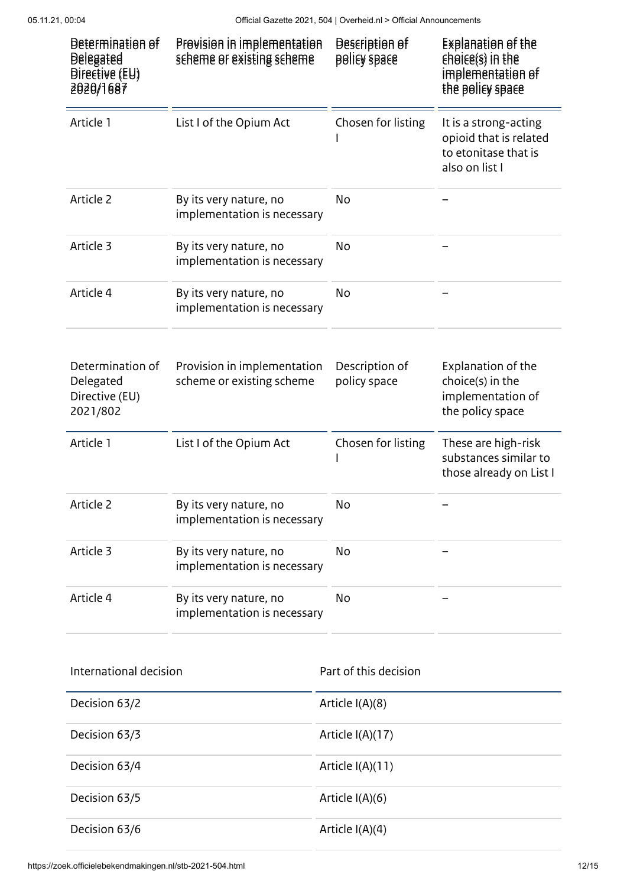05.11.21, 00:04 Official Gazette 2021, 504 | Overheid.nl > Official Announcements

| <b>Determination of</b><br><b>Belegated</b><br><b>Directive (EU)</b><br>2020/1687 | Provision in implementation<br>scheme of existing scheme | <b>Description of</b><br><b>BOLIEY SPACE</b> | Explanation of the<br>$\epsilon$ h $\epsilon$ ie $\epsilon$ (s) in the<br>implementation of<br>the policy space |
|-----------------------------------------------------------------------------------|----------------------------------------------------------|----------------------------------------------|-----------------------------------------------------------------------------------------------------------------|
| Article 1                                                                         | List I of the Opium Act                                  | Chosen for listing                           | It is a strong-acting<br>opioid that is related<br>to etonitase that is<br>also on list I                       |
| Article 2                                                                         | By its very nature, no<br>implementation is necessary    | No                                           |                                                                                                                 |
| Article 3                                                                         | By its very nature, no<br>implementation is necessary    | No                                           |                                                                                                                 |
| Article 4                                                                         | By its very nature, no<br>implementation is necessary    | No                                           |                                                                                                                 |
| Determination of<br>Delegated<br>Directive (EU)<br>2021/802                       | Provision in implementation<br>scheme or existing scheme | Description of<br>policy space               | Explanation of the<br>choice(s) in the<br>implementation of<br>the policy space                                 |
| Article 1                                                                         | List I of the Opium Act                                  | Chosen for listing                           | These are high-risk<br>substances similar to<br>those already on List I                                         |
| Article 2                                                                         | By its very nature, no<br>implementation is necessary    | No                                           |                                                                                                                 |
| Article 3                                                                         | By its very nature, no<br>implementation is necessary    | No                                           |                                                                                                                 |
| Article 4                                                                         | By its very nature, no<br>implementation is necessary    | No                                           |                                                                                                                 |
| International decision                                                            |                                                          | Part of this decision                        |                                                                                                                 |
| Decision 63/2                                                                     |                                                          | Article I(A)(8)                              |                                                                                                                 |
| Decision 63/3                                                                     |                                                          | Article I(A)(17)                             |                                                                                                                 |
| Decision 63/4                                                                     |                                                          | Article I(A)(11)                             |                                                                                                                 |
| Decision 63/5                                                                     |                                                          | Article I(A)(6)                              |                                                                                                                 |
| Decision 63/6                                                                     |                                                          | Article $I(A)(4)$                            |                                                                                                                 |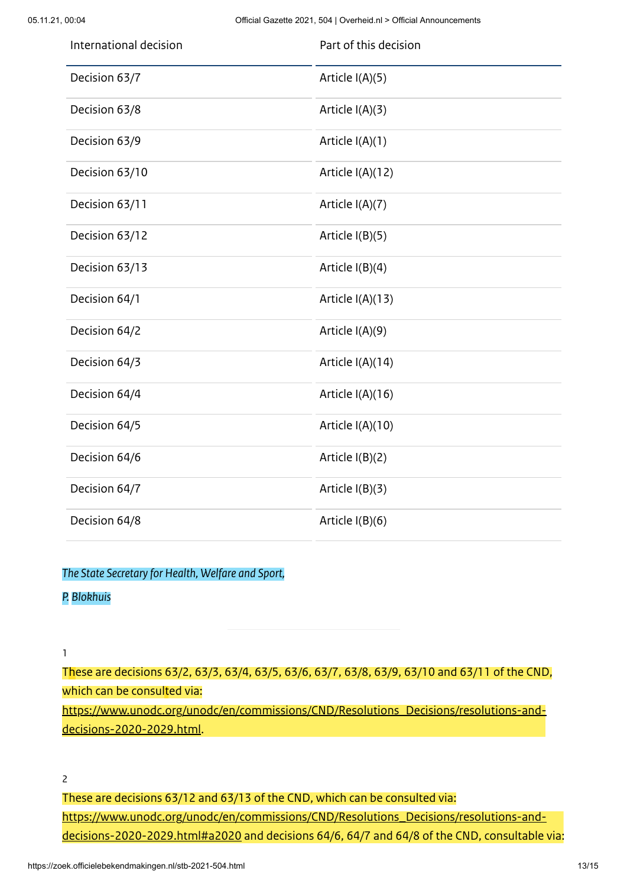05.11.21, 00:04 Official Gazette 2021, 504 | Overheid.nl > Official Announcements

| International decision | Part of this decision |
|------------------------|-----------------------|
| Decision 63/7          | Article I(A)(5)       |
| Decision 63/8          | Article I(A)(3)       |
| Decision 63/9          | Article I(A)(1)       |
| Decision 63/10         | Article I(A)(12)      |
| Decision 63/11         | Article I(A)(7)       |
| Decision 63/12         | Article $I(B)(5)$     |
| Decision 63/13         | Article I(B)(4)       |
| Decision 64/1          | Article I(A)(13)      |
| Decision 64/2          | Article I(A)(9)       |
| Decision 64/3          | Article I(A)(14)      |
| Decision 64/4          | Article I(A)(16)      |
| Decision 64/5          | Article I(A)(10)      |
| Decision 64/6          | Article I(B)(2)       |
| Decision 64/7          | Article $I(B)(3)$     |
| Decision 64/8          | Article $I(B)(6)$     |

#### *The State Secretaryfor Health, Welfare and Sport,*

#### *P. Blokhuis*

#### <span id="page-12-0"></span>1

These are decisions 63/2, 63/3, 63/4, 63/5, 63/6, 63/7, 63/8, 63/9, 63/10 and 63/11 of the CND, which can be consulted via:

[https://www.unodc.org/unodc/en/commissions/CND/Resolutions\\_Decisions/resolutions-and](https://www.unodc.org/unodc/en/commissions/CND/Resolutions_Decisions/resolutions-and-decisions-2020-2029.html)decisions-2020-2029.html.

<span id="page-12-1"></span>2

These are decisions 63/12 and 63/13 of the CND, which can be consulted via: [https://www.unodc.org/unodc/en/commissions/CND/Resolutions\\_Decisions/resolutions-and](https://www.unodc.org/unodc/en/commissions/CND/Resolutions_Decisions/resolutions-and-decisions-2020-2029.html#a2020)decisions-2020-2029.html#a2020 and decisions 64/6, 64/7 and 64/8 of the CND, consultable via: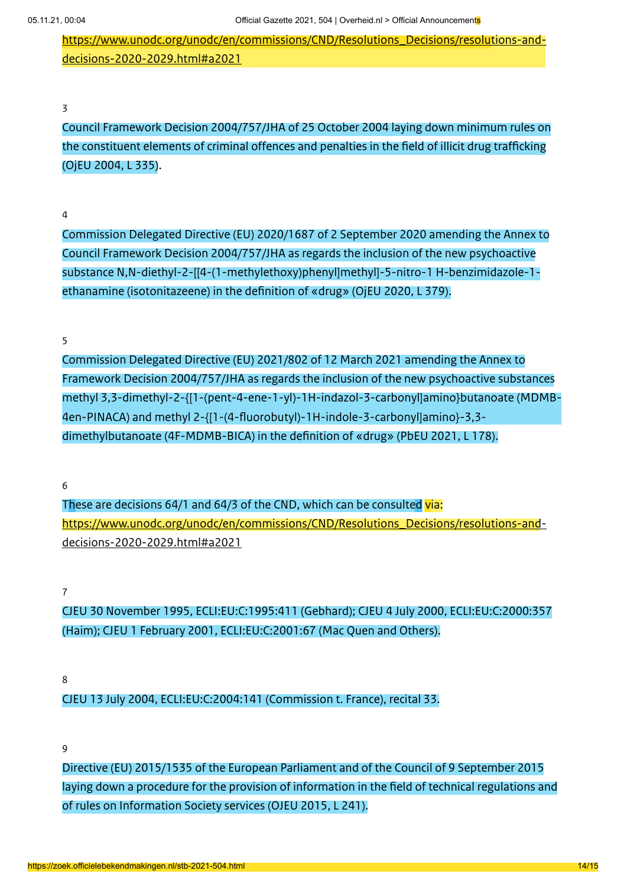[https://www.unodc.org/unodc/en/commissions/CND/Resolutions\\_Decisions/resolutions-and](https://www.unodc.org/unodc/en/commissions/CND/Resolutions_Decisions/resolutions-and-decisions-2020-2029.html#a2021)decisions-2020-2029.html#a2021

<span id="page-13-0"></span>3

Council Framework Decision 2004/757/JHA of 25 October 2004 laying down minimum rules on the constituent elements of criminal offences and penalties in the field of illicit drug trafficking (OjEU 2004, L 335).

<span id="page-13-1"></span>4

Commission Delegated Directive (EU) 2020/1687 of 2 September 2020 amending the Annex to Council Framework Decision 2004/757/JHA as regards the inclusion of the new psychoactive substance N,N-diethyl-2-[[4-(1-methylethoxy)phenyl]methyl]-5-nitro-1 H-benzimidazole-1 ethanamine (isotonitazeene) in the definition of «drug» (OjEU 2020, L 379).

<span id="page-13-2"></span>5

Commission Delegated Directive (EU) 2021/802 of 12 March 2021 amending the Annex to Framework Decision 2004/757/JHA as regards the inclusion of the new psychoactive substances methyl 3,3-dimethyl-2-{[1-(pent-4-ene-1-yl)-1H-indazol-3-carbonyl]amino}butanoate (MDMB-4en-PINACA) and methyl 2-{[1-(4-fluorobutyl)-1H-indole-3-carbonyl]amino}-3,3 dimethylbutanoate (4F-MDMB-BICA) in the definition of «drug» (PbEU 2021, L 178).

<span id="page-13-3"></span>6

These are decisions 64/1 and 64/3 of the CND, which can be consulted via: [https://www.unodc.org/unodc/en/commissions/CND/Resolutions\\_Decisions/resolutions-and](https://www.unodc.org/unodc/en/commissions/CND/Resolutions_Decisions/resolutions-and-decisions-2020-2029.html#a2021)decisions-2020-2029.html#a2021

<span id="page-13-4"></span>7

CJEU 30 November 1995, ECLI:EU:C:1995:411 (Gebhard); CJEU 4 July 2000, ECLI:EU:C:2000:357 (Haim); CJEU 1 February 2001, ECLI:EU:C:2001:67 (Mac Quen and Others).

<span id="page-13-5"></span>8

CJEU 13 July 2004, ECLI:EU:C:2004:141 (Commission t. France), recital 33.

<span id="page-13-6"></span>9

Directive (EU) 2015/1535 of the European Parliament and of the Council of 9 September 2015 laying down a procedure for the provision of information in the field of technical regulations and of rules on Information Society services (OJEU 2015, L 241).